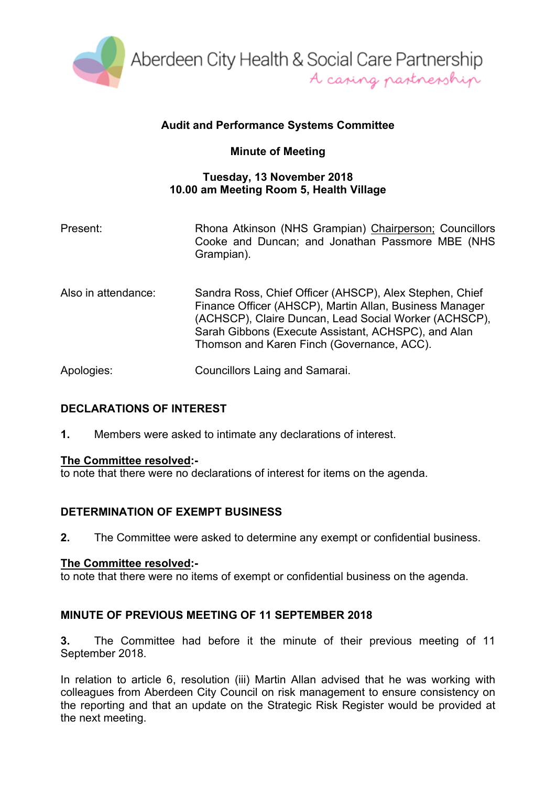

# **Audit and Performance Systems Committee**

# **Minute of Meeting**

## **Tuesday, 13 November 2018 10.00 am Meeting Room 5, Health Village**

| Present:            | Rhona Atkinson (NHS Grampian) Chairperson; Councillors<br>Cooke and Duncan; and Jonathan Passmore MBE (NHS<br>Grampian).                                                                                                                                                         |
|---------------------|----------------------------------------------------------------------------------------------------------------------------------------------------------------------------------------------------------------------------------------------------------------------------------|
| Also in attendance: | Sandra Ross, Chief Officer (AHSCP), Alex Stephen, Chief<br>Finance Officer (AHSCP), Martin Allan, Business Manager<br>(ACHSCP), Claire Duncan, Lead Social Worker (ACHSCP),<br>Sarah Gibbons (Execute Assistant, ACHSPC), and Alan<br>Thomson and Karen Finch (Governance, ACC). |
| Apologies:          | Councillors Laing and Samarai.                                                                                                                                                                                                                                                   |

# **DECLARATIONS OF INTEREST**

**1.** Members were asked to intimate any declarations of interest.

## **The Committee resolved:-**

to note that there were no declarations of interest for items on the agenda.

## **DETERMINATION OF EXEMPT BUSINESS**

**2.** The Committee were asked to determine any exempt or confidential business.

## **The Committee resolved:-**

to note that there were no items of exempt or confidential business on the agenda.

## **MINUTE OF PREVIOUS MEETING OF 11 SEPTEMBER 2018**

**3.** The Committee had before it the minute of their previous meeting of 11 September 2018.

In relation to article 6, resolution (iii) Martin Allan advised that he was working with colleagues from Aberdeen City Council on risk management to ensure consistency on the reporting and that an update on the Strategic Risk Register would be provided at the next meeting.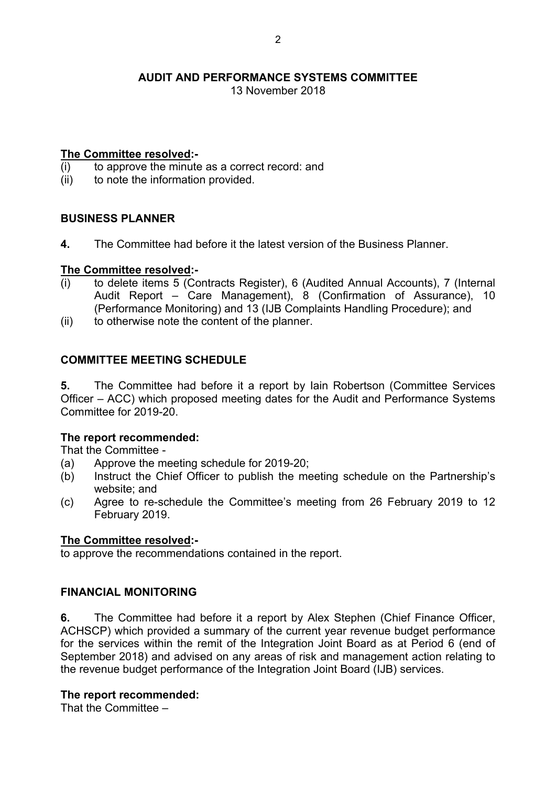13 November 2018

# **The Committee resolved:-**

- (i) to approve the minute as a correct record: and
- (ii) to note the information provided.

# **BUSINESS PLANNER**

**4.** The Committee had before it the latest version of the Business Planner.

## **The Committee resolved:-**

- (i) to delete items 5 (Contracts Register), 6 (Audited Annual Accounts), 7 (Internal Audit Report – Care Management), 8 (Confirmation of Assurance), 10 (Performance Monitoring) and 13 (IJB Complaints Handling Procedure); and
- (ii) to otherwise note the content of the planner.

# **COMMITTEE MEETING SCHEDULE**

**5.** The Committee had before it a report by Iain Robertson (Committee Services Officer – ACC) which proposed meeting dates for the Audit and Performance Systems Committee for 2019-20.

# **The report recommended:**

That the Committee -

- (a) Approve the meeting schedule for 2019-20;
- (b) Instruct the Chief Officer to publish the meeting schedule on the Partnership's website; and
- (c) Agree to re-schedule the Committee's meeting from 26 February 2019 to 12 February 2019.

## **The Committee resolved:-**

to approve the recommendations contained in the report.

## **FINANCIAL MONITORING**

**6.** The Committee had before it a report by Alex Stephen (Chief Finance Officer, ACHSCP) which provided a summary of the current year revenue budget performance for the services within the remit of the Integration Joint Board as at Period 6 (end of September 2018) and advised on any areas of risk and management action relating to the revenue budget performance of the Integration Joint Board (IJB) services.

## **The report recommended:**

That the Committee –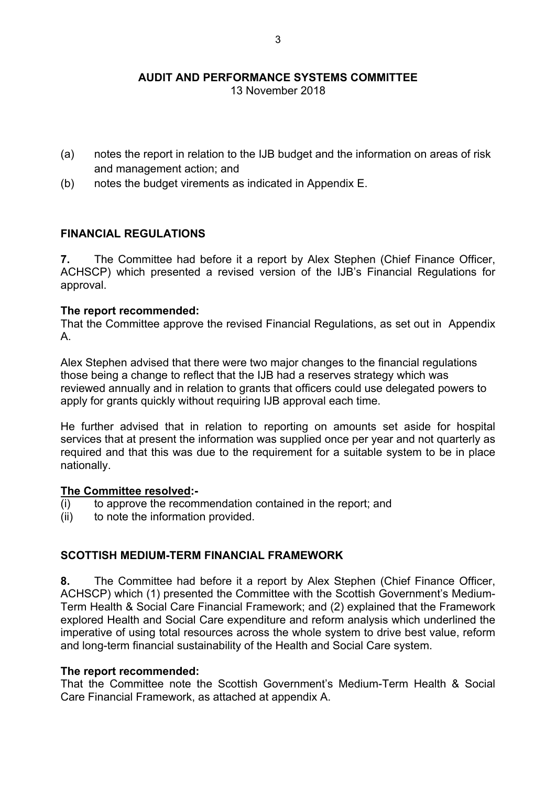13 November 2018

- (a) notes the report in relation to the IJB budget and the information on areas of risk and management action; and
- (b) notes the budget virements as indicated in Appendix E.

# **FINANCIAL REGULATIONS**

**7.** The Committee had before it a report by Alex Stephen (Chief Finance Officer, ACHSCP) which presented a revised version of the IJB's Financial Regulations for approval.

## **The report recommended:**

That the Committee approve the revised Financial Regulations, as set out in Appendix A.

Alex Stephen advised that there were two major changes to the financial regulations those being a change to reflect that the IJB had a reserves strategy which was reviewed annually and in relation to grants that officers could use delegated powers to apply for grants quickly without requiring IJB approval each time.

He further advised that in relation to reporting on amounts set aside for hospital services that at present the information was supplied once per year and not quarterly as required and that this was due to the requirement for a suitable system to be in place nationally.

## **The Committee resolved:-**

- (i) to approve the recommendation contained in the report; and
- (ii) to note the information provided.

# **SCOTTISH MEDIUM-TERM FINANCIAL FRAMEWORK**

**8.** The Committee had before it a report by Alex Stephen (Chief Finance Officer, ACHSCP) which (1) presented the Committee with the Scottish Government's Medium-Term Health & Social Care Financial Framework; and (2) explained that the Framework explored Health and Social Care expenditure and reform analysis which underlined the imperative of using total resources across the whole system to drive best value, reform and long-term financial sustainability of the Health and Social Care system.

## **The report recommended:**

That the Committee note the Scottish Government's Medium-Term Health & Social Care Financial Framework, as attached at appendix A.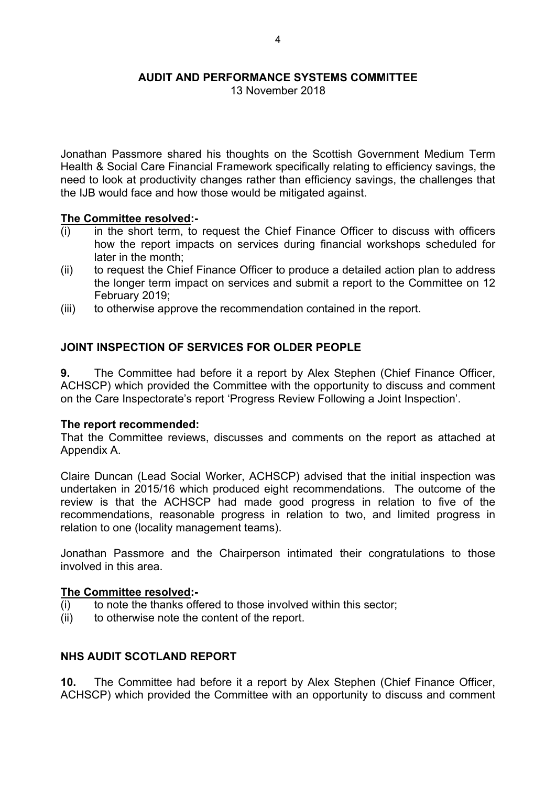## **AUDIT AND PERFORMANCE SYSTEMS COMMITTEE**

13 November 2018

Jonathan Passmore shared his thoughts on the Scottish Government Medium Term Health & Social Care Financial Framework specifically relating to efficiency savings, the need to look at productivity changes rather than efficiency savings, the challenges that the IJB would face and how those would be mitigated against.

#### **The Committee resolved:-**

- $(i)$  in the short term, to request the Chief Finance Officer to discuss with officers how the report impacts on services during financial workshops scheduled for later in the month;
- (ii) to request the Chief Finance Officer to produce a detailed action plan to address the longer term impact on services and submit a report to the Committee on 12 February 2019;
- (iii) to otherwise approve the recommendation contained in the report.

## **JOINT INSPECTION OF SERVICES FOR OLDER PEOPLE**

**9.** The Committee had before it a report by Alex Stephen (Chief Finance Officer, ACHSCP) which provided the Committee with the opportunity to discuss and comment on the Care Inspectorate's report 'Progress Review Following a Joint Inspection'.

#### **The report recommended:**

That the Committee reviews, discusses and comments on the report as attached at Appendix A.

Claire Duncan (Lead Social Worker, ACHSCP) advised that the initial inspection was undertaken in 2015/16 which produced eight recommendations. The outcome of the review is that the ACHSCP had made good progress in relation to five of the recommendations, reasonable progress in relation to two, and limited progress in relation to one (locality management teams).

Jonathan Passmore and the Chairperson intimated their congratulations to those involved in this area.

#### **The Committee resolved:-**

- (i) to note the thanks offered to those involved within this sector;
- (ii) to otherwise note the content of the report.

## **NHS AUDIT SCOTLAND REPORT**

**10.** The Committee had before it a report by Alex Stephen (Chief Finance Officer, ACHSCP) which provided the Committee with an opportunity to discuss and comment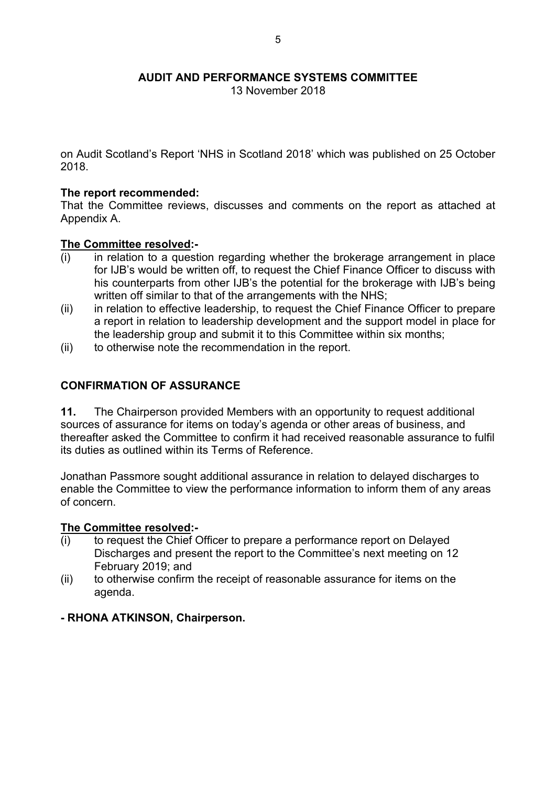**AUDIT AND PERFORMANCE SYSTEMS COMMITTEE**

13 November 2018

on Audit Scotland's Report 'NHS in Scotland 2018' which was published on 25 October 2018.

#### **The report recommended:**

That the Committee reviews, discusses and comments on the report as attached at Appendix A.

#### **The Committee resolved:-**

- (i) in relation to a question regarding whether the brokerage arrangement in place for IJB's would be written off, to request the Chief Finance Officer to discuss with his counterparts from other IJB's the potential for the brokerage with IJB's being written off similar to that of the arrangements with the NHS;
- (ii) in relation to effective leadership, to request the Chief Finance Officer to prepare a report in relation to leadership development and the support model in place for the leadership group and submit it to this Committee within six months;
- (ii) to otherwise note the recommendation in the report.

#### **CONFIRMATION OF ASSURANCE**

**11.** The Chairperson provided Members with an opportunity to request additional sources of assurance for items on today's agenda or other areas of business, and thereafter asked the Committee to confirm it had received reasonable assurance to fulfil its duties as outlined within its Terms of Reference.

Jonathan Passmore sought additional assurance in relation to delayed discharges to enable the Committee to view the performance information to inform them of any areas of concern.

#### **The Committee resolved:-**

- (i) to request the Chief Officer to prepare a performance report on Delayed Discharges and present the report to the Committee's next meeting on 12 February 2019; and
- (ii) to otherwise confirm the receipt of reasonable assurance for items on the agenda.

## **- RHONA ATKINSON, Chairperson.**